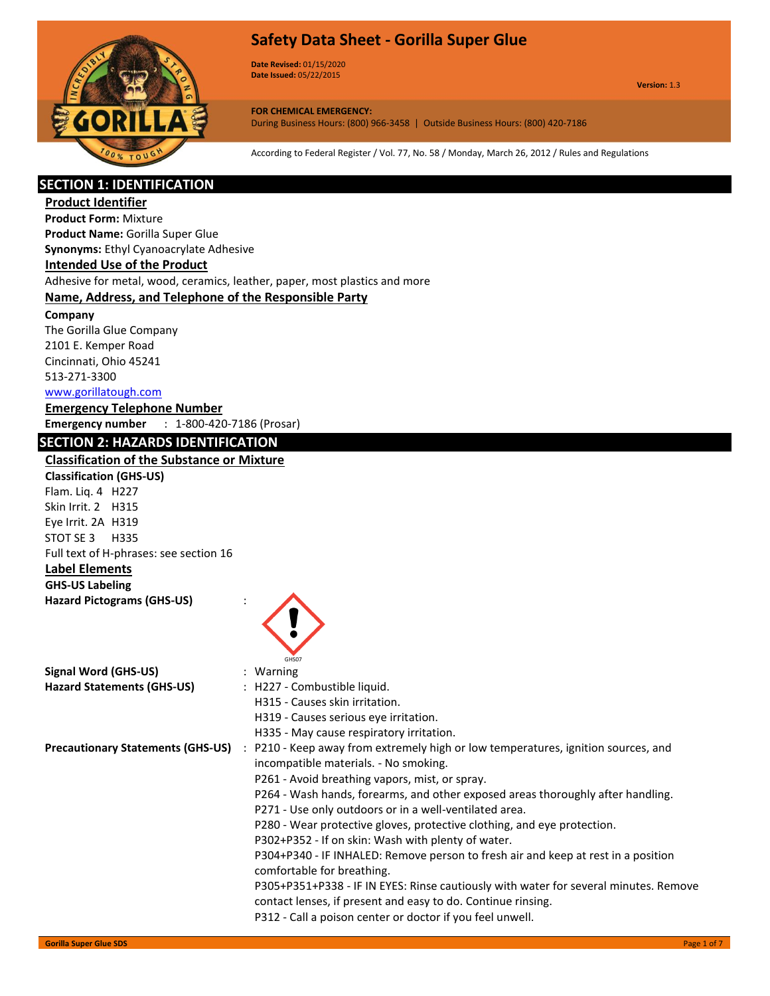



**Date Revised:** 01/15/2020 **Date Issued:** 05/22/2015

**Version:** 1.3

**FOR CHEMICAL EMERGENCY:** During Business Hours: (800) 966-3458 | Outside Business Hours: (800) 420-7186

According to Federal Register / Vol. 77, No. 58 / Monday, March 26, 2012 / Rules and Regulations

## **SECTION 1: IDENTIFICATION**

**Product Identifier Product Form:** Mixture **Product Name:** Gorilla Super Glue **Synonyms:** Ethyl Cyanoacrylate Adhesive **Intended Use of the Product** Adhesive for metal, wood, ceramics, leather, paper, most plastics and more **Name, Address, and Telephone of the Responsible Party Company**  The Gorilla Glue Company 2101 E. Kemper Road Cincinnati, Ohio 45241 513-271-3300 www.gorillatough.com **Emergency Telephone Number Emergency number** : 1-800-420-7186 (Prosar) **SECTION 2: HAZARDS IDENTIFICATION Classification of the Substance or Mixture Classification (GHS-US)** Flam. Liq. 4 H227 Skin Irrit. 2 H315 Eye Irrit. 2A H319 STOT SE 3 H335 Full text of H-phrases: see section 16 **Label Elements GHS-US Labeling Hazard Pictograms (GHS-US)** : GHS07 **Signal Word (GHS-US)** : Warning **Hazard Statements (GHS-US)** : H227 - Combustible liquid. H315 - Causes skin irritation. H319 - Causes serious eye irritation. H335 - May cause respiratory irritation. **Precautionary Statements (GHS-US)** : P210 - Keep away from extremely high or low temperatures, ignition sources, and incompatible materials. - No smoking. P261 - Avoid breathing vapors, mist, or spray. P264 - Wash hands, forearms, and other exposed areas thoroughly after handling. P271 - Use only outdoors or in a well-ventilated area. P280 - Wear protective gloves, protective clothing, and eye protection. P302+P352 - If on skin: Wash with plenty of water. P304+P340 - IF INHALED: Remove person to fresh air and keep at rest in a position comfortable for breathing.

P305+P351+P338 - IF IN EYES: Rinse cautiously with water for several minutes. Remove contact lenses, if present and easy to do. Continue rinsing. P312 - Call a poison center or doctor if you feel unwell.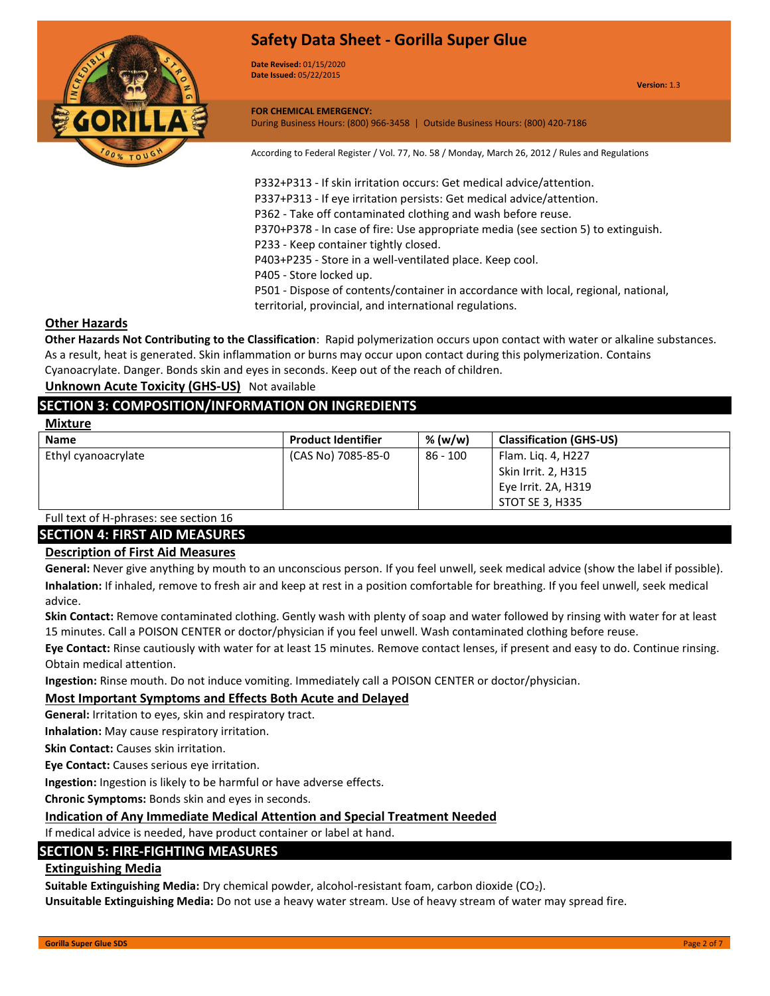

**Date Revised:** 01/15/2020 **Date Issued:** 05/22/2015

**FOR CHEMICAL EMERGENCY:** During Business Hours: (800) 966-3458 | Outside Business Hours: (800) 420-7186

According to Federal Register / Vol. 77, No. 58 / Monday, March 26, 2012 / Rules and Regulations

P332+P313 - If skin irritation occurs: Get medical advice/attention. P337+P313 - If eye irritation persists: Get medical advice/attention. P362 - Take off contaminated clothing and wash before reuse. P370+P378 - In case of fire: Use appropriate media (see section 5) to extinguish. P233 - Keep container tightly closed. P403+P235 - Store in a well-ventilated place. Keep cool. P405 - Store locked up. P501 - Dispose of contents/container in accordance with local, regional, national, territorial, provincial, and international regulations.

#### **Other Hazards**

**Other Hazards Not Contributing to the Classification**: Rapid polymerization occurs upon contact with water or alkaline substances. As a result, heat is generated. Skin inflammation or burns may occur upon contact during this polymerization. Contains Cyanoacrylate. Danger. Bonds skin and eyes in seconds. Keep out of the reach of children.

**Unknown Acute Toxicity (GHS-US)** Not available

## **SECTION 3: COMPOSITION/INFORMATION ON INGREDIENTS**

| Mixtur |
|--------|
|--------|

| <b>Name</b>         | <b>Product Identifier</b> | % (w/w)  | <b>Classification (GHS-US)</b> |
|---------------------|---------------------------|----------|--------------------------------|
| Ethyl cyanoacrylate | (CAS No) 7085-85-0        | 86 - 100 | Flam. Lig. 4, H227             |
|                     |                           |          | Skin Irrit. 2, H315            |
|                     |                           |          | Eye Irrit. 2A, H319            |
|                     |                           |          | STOT SE 3, H335                |

Full text of H-phrases: see section 16 **SECTION 4: FIRST AID MEASURES**

## **Description of First Aid Measures**

**General:** Never give anything by mouth to an unconscious person. If you feel unwell, seek medical advice (show the label if possible). **Inhalation:** If inhaled, remove to fresh air and keep at rest in a position comfortable for breathing. If you feel unwell, seek medical advice.

**Skin Contact:** Remove contaminated clothing. Gently wash with plenty of soap and water followed by rinsing with water for at least 15 minutes. Call a POISON CENTER or doctor/physician if you feel unwell. Wash contaminated clothing before reuse.

**Eye Contact:** Rinse cautiously with water for at least 15 minutes. Remove contact lenses, if present and easy to do. Continue rinsing. Obtain medical attention.

**Ingestion:** Rinse mouth. Do not induce vomiting. Immediately call a POISON CENTER or doctor/physician.

## **Most Important Symptoms and Effects Both Acute and Delayed**

**General:** Irritation to eyes, skin and respiratory tract.

**Inhalation:** May cause respiratory irritation.

**Skin Contact:** Causes skin irritation.

**Eye Contact:** Causes serious eye irritation.

**Ingestion:** Ingestion is likely to be harmful or have adverse effects.

**Chronic Symptoms:** Bonds skin and eyes in seconds.

## **Indication of Any Immediate Medical Attention and Special Treatment Needed**

If medical advice is needed, have product container or label at hand.

## **SECTION 5: FIRE-FIGHTING MEASURES**

## **Extinguishing Media**

**Suitable Extinguishing Media:** Dry chemical powder, alcohol-resistant foam, carbon dioxide (CO2).

**Unsuitable Extinguishing Media:** Do not use a heavy water stream. Use of heavy stream of water may spread fire.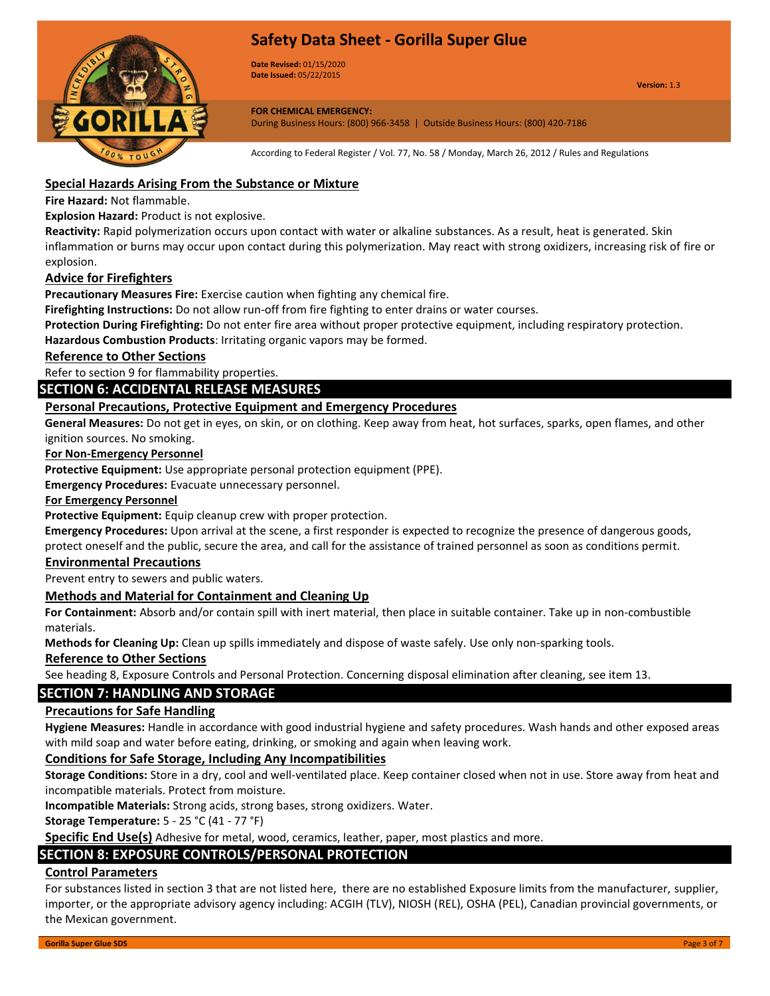

**Date Revised:** 01/15/2020 **Date Issued:** 05/22/2015

**Version:** 1.3

**FOR CHEMICAL EMERGENCY:** During Business Hours: (800) 966-3458 | Outside Business Hours: (800) 420-7186

According to Federal Register / Vol. 77, No. 58 / Monday, March 26, 2012 / Rules and Regulations

## **Special Hazards Arising From the Substance or Mixture**

**Fire Hazard:** Not flammable.

**Explosion Hazard:** Product is not explosive.

**Reactivity:** Rapid polymerization occurs upon contact with water or alkaline substances. As a result, heat is generated. Skin inflammation or burns may occur upon contact during this polymerization. May react with strong oxidizers, increasing risk of fire or explosion.

## **Advice for Firefighters**

**Precautionary Measures Fire:** Exercise caution when fighting any chemical fire.

**Firefighting Instructions:** Do not allow run-off from fire fighting to enter drains or water courses.

**Protection During Firefighting:** Do not enter fire area without proper protective equipment, including respiratory protection.

**Hazardous Combustion Products**: Irritating organic vapors may be formed.

### **Reference to Other Sections**

Refer to section 9 for flammability properties.

## **SECTION 6: ACCIDENTAL RELEASE MEASURES**

### **Personal Precautions, Protective Equipment and Emergency Procedures**

**General Measures:** Do not get in eyes, on skin, or on clothing. Keep away from heat, hot surfaces, sparks, open flames, and other ignition sources. No smoking.

#### **For Non-Emergency Personnel**

**Protective Equipment:** Use appropriate personal protection equipment (PPE).

**Emergency Procedures:** Evacuate unnecessary personnel.

#### **For Emergency Personnel**

**Protective Equipment:** Equip cleanup crew with proper protection.

**Emergency Procedures:** Upon arrival at the scene, a first responder is expected to recognize the presence of dangerous goods, protect oneself and the public, secure the area, and call for the assistance of trained personnel as soon as conditions permit.

#### **Environmental Precautions**

Prevent entry to sewers and public waters.

#### **Methods and Material for Containment and Cleaning Up**

**For Containment:** Absorb and/or contain spill with inert material, then place in suitable container. Take up in non-combustible materials.

**Methods for Cleaning Up:** Clean up spills immediately and dispose of waste safely. Use only non-sparking tools.

#### **Reference to Other Sections**

See heading 8, Exposure Controls and Personal Protection. Concerning disposal elimination after cleaning, see item 13.

## **SECTION 7: HANDLING AND STORAGE**

### **Precautions for Safe Handling**

**Hygiene Measures:** Handle in accordance with good industrial hygiene and safety procedures. Wash hands and other exposed areas with mild soap and water before eating, drinking, or smoking and again when leaving work.

## **Conditions for Safe Storage, Including Any Incompatibilities**

**Storage Conditions:** Store in a dry, cool and well-ventilated place. Keep container closed when not in use. Store away from heat and incompatible materials. Protect from moisture.

**Incompatible Materials:** Strong acids, strong bases, strong oxidizers. Water.

**Storage Temperature:** 5 - 25 °C (41 - 77 °F)

**Specific End Use(s)** Adhesive for metal, wood, ceramics, leather, paper, most plastics and more.

## **SECTION 8: EXPOSURE CONTROLS/PERSONAL PROTECTION**

## **Control Parameters**

For substances listed in section 3 that are not listed here, there are no established Exposure limits from the manufacturer, supplier, importer, or the appropriate advisory agency including: ACGIH (TLV), NIOSH (REL), OSHA (PEL), Canadian provincial governments, or the Mexican government.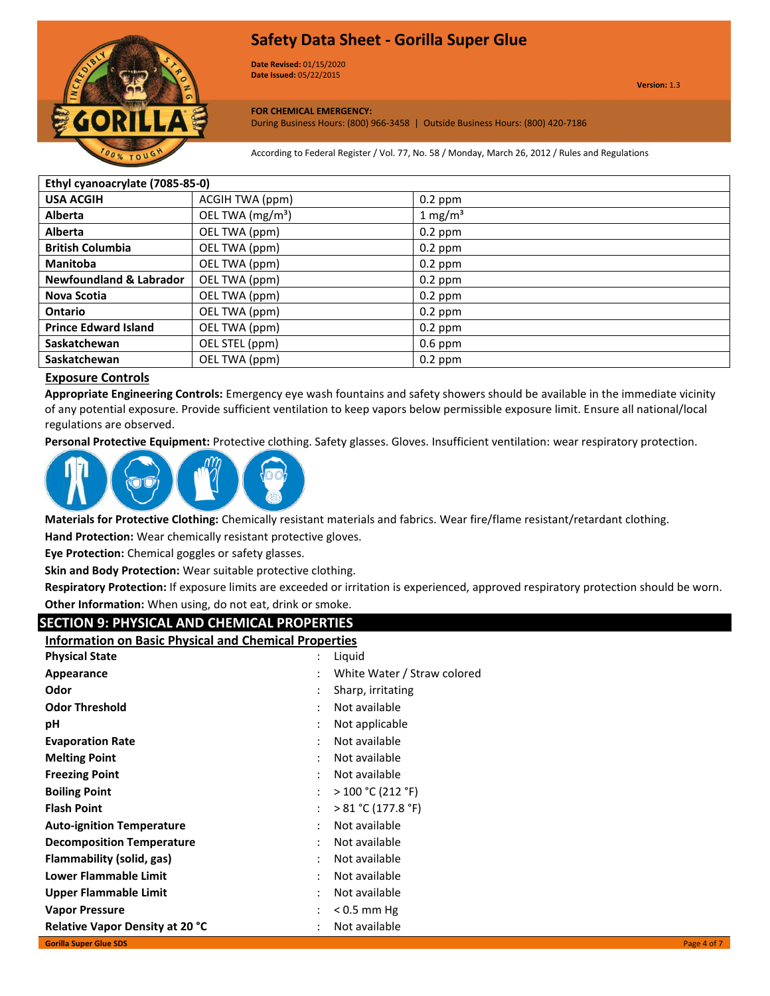

**Date Revised:** 01/15/2020 **Date Issued:** 05/22/2015

# **FOR CHEMICAL EMERGENCY:**

During Business Hours: (800) 966-3458 | Outside Business Hours: (800) 420-7186

According to Federal Register / Vol. 77, No. 58 / Monday, March 26, 2012 / Rules and Regulations

| Ethyl cyanoacrylate (7085-85-0)    |                              |                     |  |
|------------------------------------|------------------------------|---------------------|--|
| <b>USA ACGIH</b>                   | ACGIH TWA (ppm)              | $0.2$ ppm           |  |
| <b>Alberta</b>                     | OEL TWA (mg/m <sup>3</sup> ) | 1 mg/m <sup>3</sup> |  |
| <b>Alberta</b>                     | OEL TWA (ppm)                | $0.2$ ppm           |  |
| <b>British Columbia</b>            | OEL TWA (ppm)                | $0.2$ ppm           |  |
| <b>Manitoba</b>                    | OEL TWA (ppm)                | $0.2$ ppm           |  |
| <b>Newfoundland &amp; Labrador</b> | OEL TWA (ppm)                | $0.2$ ppm           |  |
| <b>Nova Scotia</b>                 | OEL TWA (ppm)                | $0.2$ ppm           |  |
| Ontario                            | OEL TWA (ppm)                | $0.2$ ppm           |  |
| <b>Prince Edward Island</b>        | OEL TWA (ppm)                | $0.2$ ppm           |  |
| Saskatchewan                       | OEL STEL (ppm)               | $0.6$ ppm           |  |
| Saskatchewan                       | OEL TWA (ppm)                | $0.2$ ppm           |  |

## **Exposure Controls**

**Appropriate Engineering Controls:** Emergency eye wash fountains and safety showers should be available in the immediate vicinity of any potential exposure. Provide sufficient ventilation to keep vapors below permissible exposure limit. Ensure all national/local regulations are observed.

**Personal Protective Equipment:** Protective clothing. Safety glasses. Gloves. Insufficient ventilation: wear respiratory protection.



**Materials for Protective Clothing:** Chemically resistant materials and fabrics. Wear fire/flame resistant/retardant clothing.

**Hand Protection:** Wear chemically resistant protective gloves.

**Eye Protection:** Chemical goggles or safety glasses.

**Skin and Body Protection:** Wear suitable protective clothing.

**Respiratory Protection:** If exposure limits are exceeded or irritation is experienced, approved respiratory protection should be worn. **Other Information:** When using, do not eat, drink or smoke.

## **SECTION 9: PHYSICAL AND CHEMICAL PROPERTIES**

| SECTION 9. FHTSICAL AND CHEMICAL FROFERTIES                  |   |                             |             |
|--------------------------------------------------------------|---|-----------------------------|-------------|
| <b>Information on Basic Physical and Chemical Properties</b> |   |                             |             |
| <b>Physical State</b>                                        |   | Liquid                      |             |
| Appearance                                                   |   | White Water / Straw colored |             |
| Odor                                                         |   | Sharp, irritating           |             |
| <b>Odor Threshold</b>                                        |   | Not available               |             |
| рH                                                           |   | Not applicable              |             |
| <b>Evaporation Rate</b>                                      | ٠ | Not available               |             |
| <b>Melting Point</b>                                         |   | Not available               |             |
| <b>Freezing Point</b>                                        |   | Not available               |             |
| <b>Boiling Point</b>                                         |   | >100 °C (212 °F)            |             |
| <b>Flash Point</b>                                           |   | > 81 °C (177.8 °F)          |             |
| <b>Auto-ignition Temperature</b>                             |   | Not available               |             |
| <b>Decomposition Temperature</b>                             |   | Not available               |             |
| Flammability (solid, gas)                                    |   | Not available               |             |
| <b>Lower Flammable Limit</b>                                 |   | Not available               |             |
| Upper Flammable Limit                                        | ٠ | Not available               |             |
| <b>Vapor Pressure</b>                                        |   | $< 0.5$ mm Hg               |             |
| <b>Relative Vapor Density at 20 °C</b>                       |   | Not available               |             |
| <b>Gorilla Super Glue SDS</b>                                |   |                             | Page 4 of 7 |
|                                                              |   |                             |             |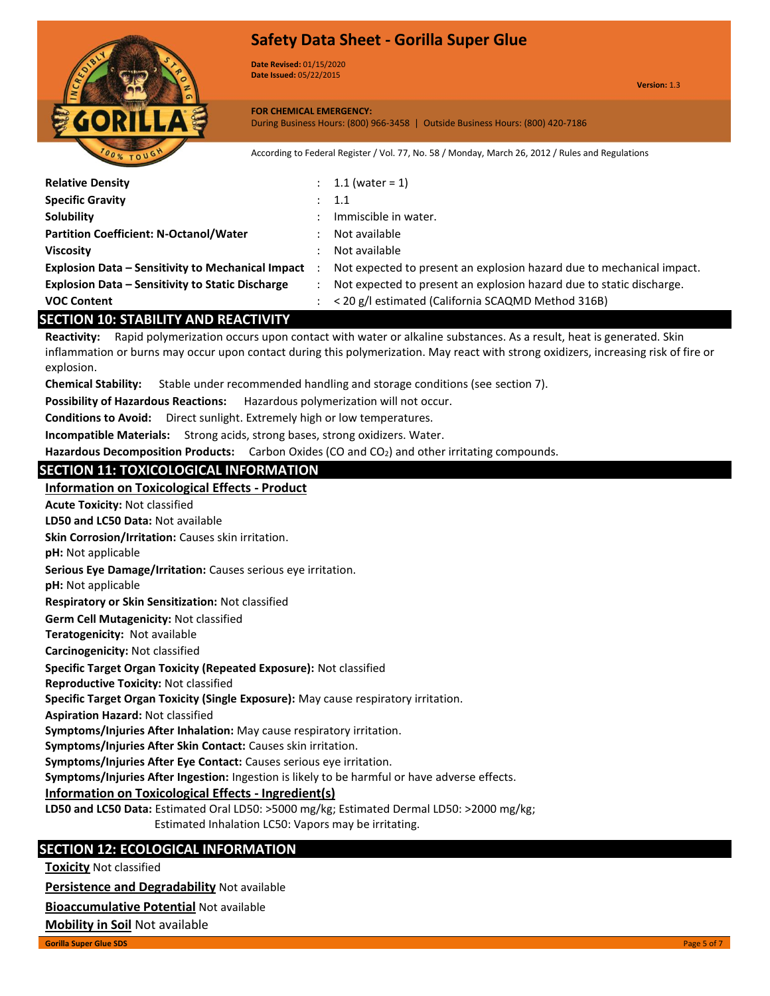

**Date Revised:** 01/15/2020 **Date Issued:** 05/22/2015

**Version:** 1.3

#### **FOR CHEMICAL EMERGENCY:** During Business Hours: (800) 966-3458 | Outside Business Hours: (800) 420-7186

According to Federal Register / Vol. 77, No. 58 / Monday, March 26, 2012 / Rules and Regulations

| <b>Relative Density</b>                                    | : $1.1$ (water = 1)                                                   |
|------------------------------------------------------------|-----------------------------------------------------------------------|
| <b>Specific Gravity</b>                                    | : 1.1                                                                 |
| Solubility                                                 | Immiscible in water.                                                  |
| <b>Partition Coefficient: N-Octanol/Water</b>              | Not available                                                         |
| <b>Viscosity</b>                                           | Not available                                                         |
| <b>Explosion Data – Sensitivity to Mechanical Impact</b> : | Not expected to present an explosion hazard due to mechanical impact. |
| <b>Explosion Data – Sensitivity to Static Discharge</b>    | Not expected to present an explosion hazard due to static discharge.  |
| <b>VOC Content</b>                                         | < 20 g/l estimated (California SCAQMD Method 316B)                    |
| <b>SECTION 10: STABILITY AND REACTIVITY</b>                |                                                                       |
|                                                            |                                                                       |

**Reactivity:** Rapid polymerization occurs upon contact with water or alkaline substances. As a result, heat is generated. Skin inflammation or burns may occur upon contact during this polymerization. May react with strong oxidizers, increasing risk of fire or explosion.

**Chemical Stability:** Stable under recommended handling and storage conditions (see section 7).

**Possibility of Hazardous Reactions:** Hazardous polymerization will not occur.

**Conditions to Avoid:** Direct sunlight. Extremely high or low temperatures.

**Incompatible Materials:** Strong acids, strong bases, strong oxidizers. Water.

**Hazardous Decomposition Products:** Carbon Oxides (CO and CO2) and other irritating compounds.

## **SECTION 11: TOXICOLOGICAL INFORMATION**

## **Information on Toxicological Effects - Product**

**LD50 and LC50 Data:** Not available **Acute Toxicity:** Not classified

**Skin Corrosion/Irritation:** Causes skin irritation.

**pH:** Not applicable

**Serious Eye Damage/Irritation:** Causes serious eye irritation.

**pH:** Not applicable

**Respiratory or Skin Sensitization:** Not classified

**Germ Cell Mutagenicity:** Not classified

**Teratogenicity:** Not available

**Carcinogenicity:** Not classified

## **Specific Target Organ Toxicity (Repeated Exposure):** Not classified

**Reproductive Toxicity:** Not classified

**Specific Target Organ Toxicity (Single Exposure):** May cause respiratory irritation.

**Aspiration Hazard:** Not classified

**Symptoms/Injuries After Inhalation:** May cause respiratory irritation.

**Symptoms/Injuries After Skin Contact:** Causes skin irritation.

**Symptoms/Injuries After Eye Contact:** Causes serious eye irritation.

**Symptoms/Injuries After Ingestion:** Ingestion is likely to be harmful or have adverse effects.

## **Information on Toxicological Effects - Ingredient(s)**

**LD50 and LC50 Data:** Estimated Oral LD50: >5000 mg/kg; Estimated Dermal LD50: >2000 mg/kg;

Estimated Inhalation LC50: Vapors may be irritating.

## **SECTION 12: ECOLOGICAL INFORMATION**

**Toxicity** Not classified

**Persistence and Degradability** Not available

**Bioaccumulative Potential** Not available

**Mobility in Soil** Not available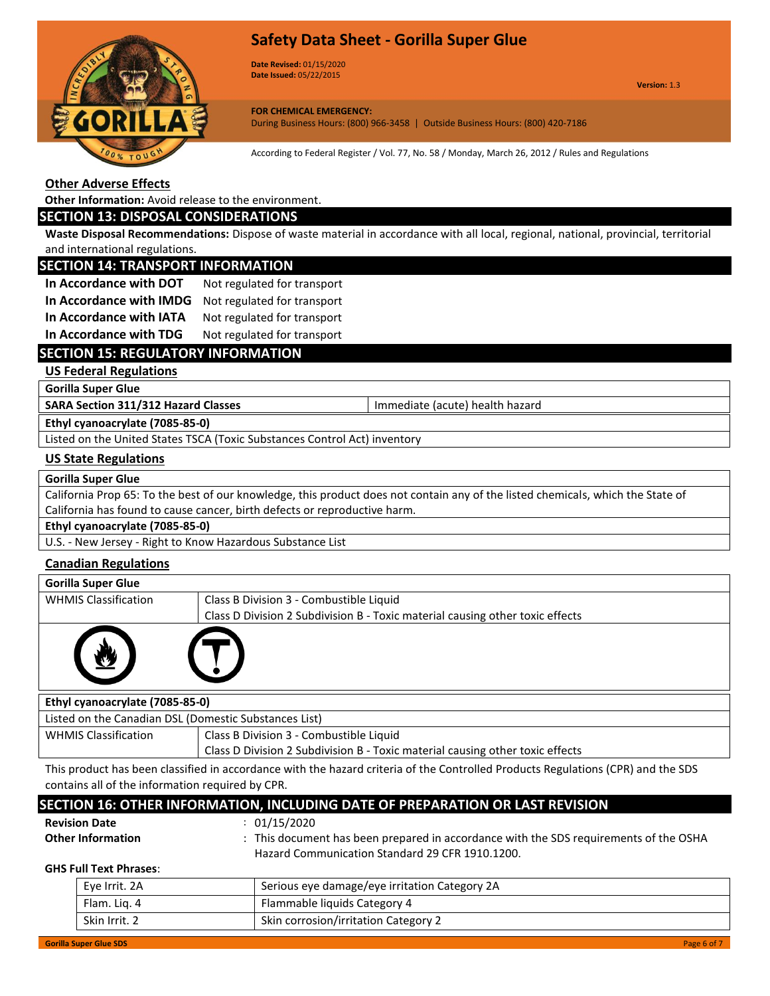

**Date Revised:** 01/15/2020 **Date Issued:** 05/22/2015

**Version:** 1.3

**FOR CHEMICAL EMERGENCY:** During Business Hours: (800) 966-3458 | Outside Business Hours: (800) 420-7186

According to Federal Register / Vol. 77, No. 58 / Monday, March 26, 2012 / Rules and Regulations

## **Other Adverse Effects**

**Other Information:** Avoid release to the environment.

## **SECTION 13: DISPOSAL CONSIDERATIONS**

**Waste Disposal Recommendations:** Dispose of waste material in accordance with all local, regional, national, provincial, territorial and international regulations.

## **SECTION 14: TRANSPORT INFORMATION**

| In Accordance with DOT  | Not regulated for transport |
|-------------------------|-----------------------------|
| In Accordance with IMDG | Not regulated for transport |
| In Accordance with IATA | Not regulated for transport |

**In Accordance with TDG** Not regulated for transport

## **SECTION 15: REGULATORY INFORMATION**

**US Federal Regulations**

**Gorilla Super Glue**

**SARA Section 311/312 Hazard Classes Integral 20 and SARA Section 311/312 Hazard Classes Immediate (acute) health hazard** 

**Ethyl cyanoacrylate (7085-85-0)**

Listed on the United States TSCA (Toxic Substances Control Act) inventory

Skin Irrit. 2 Skin corrosion/irritation Category 2

## **US State Regulations**

#### **Gorilla Super Glue**

California Prop 65: To the best of our knowledge, this product does not contain any of the listed chemicals, which the State of California has found to cause cancer, birth defects or reproductive harm.

**Ethyl cyanoacrylate (7085-85-0)**

U.S. - New Jersey - Right to Know Hazardous Substance List

## **Canadian Regulations**

| <b>Gorilla Super Glue</b>       |                                                                               |  |
|---------------------------------|-------------------------------------------------------------------------------|--|
| <b>WHMIS Classification</b>     | Class B Division 3 - Combustible Liquid                                       |  |
|                                 | Class D Division 2 Subdivision B - Toxic material causing other toxic effects |  |
|                                 |                                                                               |  |
| Ethyl cyanoacrylate (7085-85-0) |                                                                               |  |

| Listed on the Canadian DSL (Domestic Substances List) |                                                                               |  |  |  |
|-------------------------------------------------------|-------------------------------------------------------------------------------|--|--|--|
| <b>WHMIS Classification</b>                           | Class B Division 3 - Combustible Liquid                                       |  |  |  |
|                                                       | Class D Division 2 Subdivision B - Toxic material causing other toxic effects |  |  |  |
|                                                       |                                                                               |  |  |  |

This product has been classified in accordance with the hazard criteria of the Controlled Products Regulations (CPR) and the SDS contains all of the information required by CPR.

| SECTION 16: OTHER INFORMATION, INCLUDING DATE OF PREPARATION OR LAST REVISION |                               |                                                                                                                                          |  |  |  |  |  |
|-------------------------------------------------------------------------------|-------------------------------|------------------------------------------------------------------------------------------------------------------------------------------|--|--|--|--|--|
|                                                                               | <b>Revision Date</b>          | : 01/15/2020                                                                                                                             |  |  |  |  |  |
|                                                                               | <b>Other Information</b>      | : This document has been prepared in accordance with the SDS requirements of the OSHA<br>Hazard Communication Standard 29 CFR 1910.1200. |  |  |  |  |  |
|                                                                               | <b>GHS Full Text Phrases:</b> |                                                                                                                                          |  |  |  |  |  |
|                                                                               | Eye Irrit. 2A                 | Serious eye damage/eye irritation Category 2A                                                                                            |  |  |  |  |  |
|                                                                               | Flam. Lig. 4                  | Flammable liquids Category 4                                                                                                             |  |  |  |  |  |